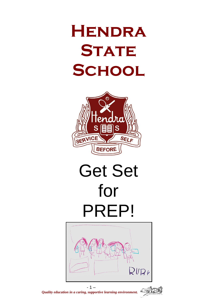## **Hendra STATE School**



# Get Set for PREP!





*Quality education in a caring, supportive learning environment.*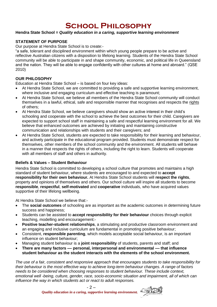### **School Philosophy**

#### **Hendra State School =** *Quality education in a caring, supportive learning environment*

#### **STATEMENT OF PURPOSE**

Our purpose at Hendra State School is to create:-

"a safe, tolerant and disciplined environment within which young people prepare to be active and reflective Australian citizens with a disposition to lifelong learning. Students of the Hendra State School community will be able to participate in and shape community, economic, and political life in Queensland and the nation. They will be able to engage confidently with other cultures at home and abroard." (QSE 2010)

#### **OUR PHILOSOPHY**

Education at Hendra State School – is based on four key ideas:

- At Hendra State School, we are committed to providing a safe and supportive learning environment, where inclusive and engaging curriculum and effective teaching is paramount;
- At Hendra State School, we believe all members of the Hendra State School community will conduct themselves in a lawful, ethical, safe and responsible manner that recognises and respects the rights of others;
- At Hendra State School, we believe caregivers should show an active interest in their child's schooling and cooperate with the school to achieve the best outcomes for their child. Caregivers are expected to support school staff in maintaining a safe and respectful learning environment for all. We believe that enhanced outcomes are achieved by initiating and maintaining constructive communication and relationships with students and their caregivers; and
- At Hendra State School, students are expected to take responsibility for their learning and behaviour, and actively participate in the educational program provided. Students must demonstrate respect for themselves, other members of the school community and the environment. All students will behave in a manner that respects the rights of others, including the right to learn. Students will cooperate with all members of staff and others in authority.

#### **Beliefs & Values – Student Behaviour**

Hendra State School is committed to developing a school culture that promotes and maintains a high standard of student behaviour, where students are encouraged to and expected to **accept responsibility for their own behaviour.** At Hendra State School students will **respect the rights**, property and opinions of themselves and others. Our school culture will inspire all students to become **responsible**, **respectful**, **self-motivated** and **cooperative** individuals, who have acquired values supportive of their lifelong wellbeing.

At Hendra State School we believe that:-

- The **social outcomes** of schooling are as important as the academic outcomes in determining future success and happiness;
- Students can be assisted to **accept responsibility for their behaviour** choices through explicit teaching, modelling and encouragement:-
- **Positive teacher-student relationships**, a stimulating and productive classroom environment and an engaging and inclusive curriculum are fundamental in promoting positive behaviour;
- Consistent, **responsible parenting**, which models acceptable social behaviour, is an important influence on student behaviour;
- Managing student behaviour is a **joint responsibility** of students, parents and staff; and
- **There are many factors –– personal, interpersonal and environmental –– that influence student behaviour as the student interacts with the elements of the school environment.**

*The use of a fair, consistent and responsive approach that encourages students to take responsibility for their behaviour is the most effective way to achieve long-term behaviour changes. A range of factors needs to be considered when choosing responses to student behaviour. These include context, emotional well -being, culture, gender, race, socio-economic situation and impairment, all of which can influence the way in which students act or react to adult responses.*

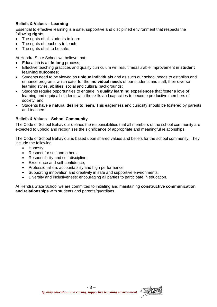#### **Beliefs & Values – Learning**

Essential to effective learning is a safe, supportive and disciplined environment that respects the following **rights**.

- The rights of all students to learn
- The rights of teachers to teach
- The rights of all to be safe.

At Hendra State School we believe that:-

- Education is a **life-long** process;
- Effective teaching practices and quality curriculum will result measurable improvement in **student learning outcomes**;
- Students need to be viewed as **unique individuals** and as such our school needs to establish and enhance programs which cater for the **individual needs** of our students and staff, their diverse learning styles, abilities, social and cultural backgrounds;
- Students require opportunities to engage in **quality learning experiences** that foster a love of learning and equip all students with the skills and capacities to become productive members of society; and
- Students have a **natural desire to learn**. This eagerness and curiosity should be fostered by parents and teachers.

#### **Beliefs & Values – School Community**

The Code of School Behaviour defines the responsibilities that all members of the school community are expected to uphold and recognises the significance of appropriate and meaningful relationships.

The Code of School Behaviour is based upon shared values and beliefs for the school community. They include the following:

- Honesty;
- Respect for self and others;
- Responsibility and self-discipline;
- Excellence and self-confidence:
- Professionalism: accountability and high performance;
- Supporting innovation and creativity in safe and supportive environments;
- Diversity and inclusiveness: encouraging all parties to participate in education.

At Hendra State School we are committed to initiating and maintaining **constructive communication and relationships** with students and parents/guardians.

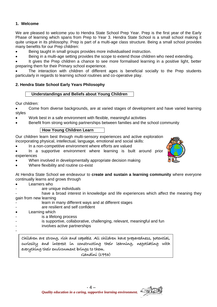#### **1. Welcome**

We are pleased to welcome you to Hendra State School Prep Year. Prep is the first year of the Early Phase of learning which spans from Prep to Year 3. Hendra State School is a small school making it quite unique in its philosophy. Prep is part of a multi-age class structure. Being a small school provides many benefits for our Prep children:

Being taught in small groups provides more individualised instruction.

Being in a multi-age setting provides the scope to extend those children who need extending.

 It gives the Prep children a chance to see more formalised learning in a positive light, better preparing them for their Primary school experience.

 The interaction with children of different ages is beneficial socially to the Prep students particularly in regards to learning school routines and co-operative play.

#### **2. Hendra State School Early Years Philosophy**

#### **Understandings and Beliefs about Young Children**

Our children:

 Come from diverse backgrounds, are at varied stages of development and have varied learning styles

- Work best in a safe environment with flexible, meaningful activities
- Benefit from strong working partnerships between families and the school community

#### **How Young Children Learn**

Our children learn best through multi-sensory experiences and active exploration incorporating physical, intellectual, language, emotional and social skills:

- In a non-competitive environment where efforts are valued
- In a supportive environment where learning is built around prior experiences
- When involved in developmentally appropriate decision making
- Where flexibility and routine co-exist
- At Hendra State School we endeavour to **create and sustain a learning community** where everyone continually learns and grows through
- Learners who
- are unique individuals
- have a broad interest in knowledge and life experiences which affect the meaning they gain from new learning
- learn in many different ways and at different stages
- are resilient and self confident
- Learning which
- is a lifelong process
- is supportive, collaborative, challenging, relevant, meaningful and fun
- involves active partnerships
- -

Children are strong, rich and capable. All children have preparedness, potential, curiosity and interest in constructing their learning, negotiating with everything their environment brings to them.

Gandini (1993)





 $-4-$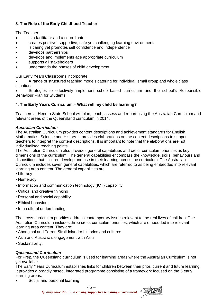#### **3**. **The Role of the Early Childhood Teacher**

The Teacher

- is a facilitator and a co-ordinator
- creates positive, supportive, safe yet challenging learning environments
- is caring yet promotes self confidence and independence
- develops partnerships
- develops and implements age appropriate curriculum
- supports all stakeholders
- understands the phases of child development

Our Early Years Classrooms incorporate:

 A range of structured teaching models catering for individual, small group and whole class situations

 Strategies to effectively implement school-based curriculum and the school's Responsible Behaviour Plan for Students

#### **4**. **The Early Years Curriculum – What will my child be learning?**

Teachers at Hendra State School will plan, teach, assess and report using the Australian Curriculum and relevant areas of the Queensland curriculum in 2014.

#### *Australian Curriculum*

The Australian Curriculum provides content descriptions and achievement standards for English, Mathematics, Science and History. It provides elaborations on the content descriptions to support teachers to interpret the content descriptions. It is important to note that the elaborations are not individualised teaching points.

The Australian Curriculum also provides general capabilities and cross-curriculum priorities as key dimensions of the curriculum. The general capabilities encompass the knowledge, skills, behaviours and dispositions that children develop and use in their learning across the curriculum. The Australian Curriculum includes seven general capabilities, which are referred to as being embedded into relevant learning area content. The general capabilities are:

- Literacy
- Numeracy
- Information and communication technology (ICT) capability
- Critical and creative thinking
- Personal and social capability
- Ethical behaviour
- Intercultural understanding.

The cross-curriculum priorities address contemporary issues relevant to the real lives of children. The Australian Curriculum includes three cross-curriculum priorities, which are embedded into relevant learning area content. They are:

- Aboriginal and Torres Strait Islander histories and cultures
- Asia and Australia's engagement with Asia
- Sustainability.

#### *Queensland Curriculum*

For Prep, the Queensland curriculum is used for learning areas where the Australian Curriculum is not yet available.

The Early Years Curriculum establishes links for children between their prior, current and future learning. It provides a broadly based, integrated programme consisting of a framework focused on the 5 early learning areas:

Social and personal learning



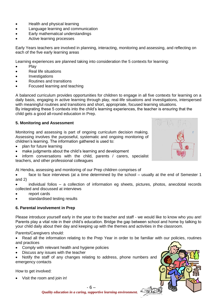- Health and physical learning
- Language learning and communication
- Early mathematical understandings
- Active learning processes

Early Years teachers are involved in planning, interacting, monitoring and assessing, and reflecting on each of the five early learning areas

Learning experiences are planned taking into consideration the 5 contexts for learning:

- Play
- Real life situations
- **•** Investigations
- Routines and transitions
- Focused learning and teaching

A balanced curriculum provides opportunities for children to engage in all five contexts for learning on a daily basis, engaging in active learning through play, real-life situations and investigations, interspersed with meaningful routines and transitions and short, appropriate, focused learning situations. By integrating these 5 contexts into the child's learning experiences, the teacher is ensuring that the

child gets a good all-round education in Prep.

#### **5. Monitoring and Assessment**

Monitoring and assessing is part of ongoing curriculum decision making. Assessing involves the purposeful, systematic and ongoing monitoring of children's learning. The information gathered is used to:

- plan for future learning
- make judgments about the child's learning and development

 inform conversations with the child, parents / carers, specialist teachers, and other professional colleagues

At Hendra, assessing and monitoring of our Prep children comprises of

 face to face interviews (at a time determined by the school – usually at the end of Semester 1 and 2)

 individual folios – a collection of information eg sheets, pictures, photos, anecdotal records collected and discussed at interviews

- report cards
- standardised testing results

#### **6. Parental involvement in Prep**

Please introduce yourself early in the year to the teacher and staff - we would like to know who you are! Parents play a vital role in their child's education. Bridge the gap between school and home by talking to your child daily about their day and keeping up with the themes and activities in the classroom.

Parents/Caregivers should:

• Read all the information relating to the Prep Year in order to be familiar with our policies, routines and practices

- Comply with relevant health and hygiene policies
- Discuss any issues with the teacher
- Notify the staff of any changes relating to address, phone numbers and emergency contacts

How to get involved:

Visit the room and join in!



- 6 – *Quality education in a caring, supportive learning environment.*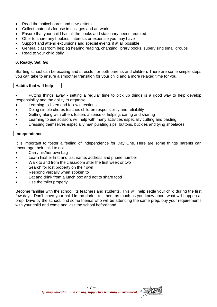- Read the noticeboards and newsletters
- Collect materials for use in collages and art work
- Ensure that your child has all the books and stationary needs required
- Offer to share any hobbies, interests or expertise you may have
- Support and attend excursions and special events if at all possible
- General classroom help eg hearing reading, changing library books, supervising small groups
- Read to your child daily

#### **6. Ready, Set, Go!**

Starting school can be exciting and stressful for both parents and children. There are some simple steps you can take to ensure a smoother transition for your child and a more relaxed time for you.

#### **Habits that will help**

 Putting things away **-** setting a regular time to pick up things is a good way to help develop responsibility and the ability to organise

- Learning to listen and follow directions
- Doing simple chores teaches children responsibility and reliability
- Getting along with others fosters a sense of helping, caring and sharing
- Learning to use scissors will help with many activities especially cutting and pasting
- Dressing themselves especially manipulating zips, buttons, buckles and tying shoelaces

#### **Independence**

It is important to foster a feeling of independence for Day One. Here are some things parents can encourage their child to do:

- Carry his/her own bag
- Learn his/her first and last name, address and phone number
- Walk to and from the classroom after the first week or two
- Search for lost property on their own
- Respond verbally when spoken to
- Eat and drink from a lunch box and not to share food
- Use the toilet properly

Become familiar with the school, its teachers and students. This will help settle your child during the first few days. Don't leave your child in the dark – tell them as much as you know about what will happen at prep. Drive by the school, find some friends who will be attending the same prep, buy your requirements with your child and come and visit the school beforehand.

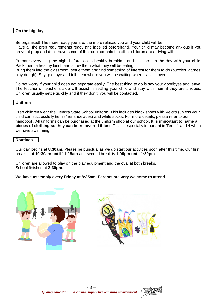#### **On the big day**

Be organised! The more ready you are, the more relaxed you and your child will be. Have all the prep requirements ready and labelled beforehand. Your child may become anxious if you arrive at prep and don't have some of the requirements the other children are arriving with.

Prepare everything the night before, eat a healthy breakfast and talk through the day with your child. Pack them a healthy lunch and show them what they will be eating.

Bring them into the classroom, settle them and find something of interest for them to do (puzzles, games, play dough). Say goodbye and tell them where you will be waiting when class is over.

Do not worry if your child does not separate easily. The best thing to do is say your goodbyes and leave. The teacher or teacher's aide will assist in settling your child and stay with them if they are anxious. Children usually settle quickly and if they don't, you will be contacted.

#### **Uniform**

Prep children wear the Hendra State School uniform. This includes black shoes with Velcro (unless your child can successfully tie his/her shoelaces) and white socks. For more details, please refer to our handbook. All uniforms can be purchased at the uniform shop at our school. **It is important to name all pieces of clothing so they can be recovered if lost.** This is especially important in Term 1 and 4 when we have swimming.

#### **Routines**

Our day begins at **8:30am**. Please be punctual as we do start our activities soon after this time. Our first break is at **10:30am until 11:15am** and second break is **1:00pm until 1:30pm.**

Children are allowed to play on the play equipment and the oval at both breaks. School finishes at **2:30pm**.

**We have assembly every Friday at 8:35am. Parents are very welcome to attend.**